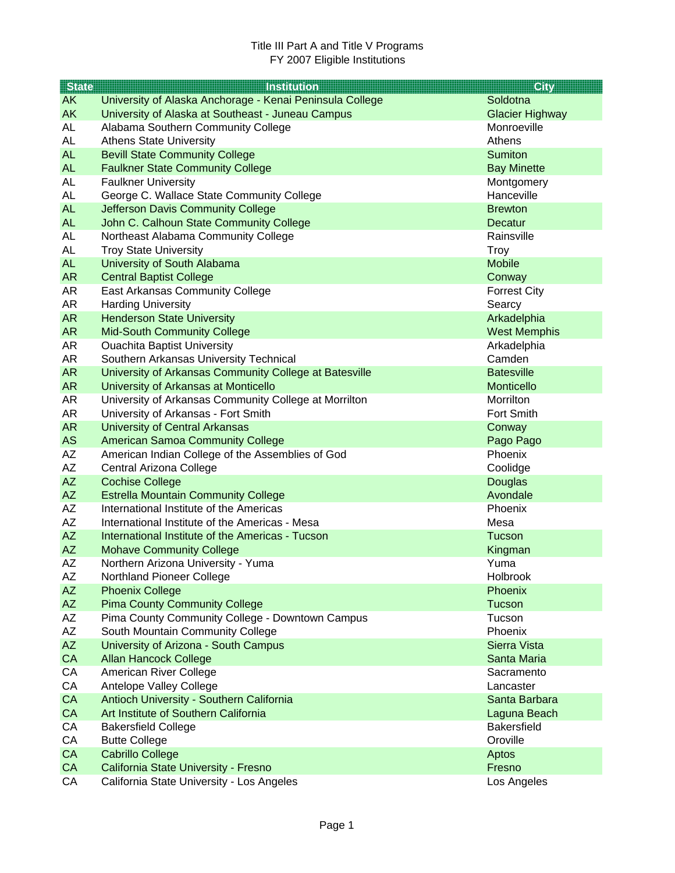| <b>State</b> | <b>Institution</b>                                                   | <b>City</b>                        |
|--------------|----------------------------------------------------------------------|------------------------------------|
| <b>AK</b>    | University of Alaska Anchorage - Kenai Peninsula College             | Soldotna                           |
| <b>AK</b>    | University of Alaska at Southeast - Juneau Campus                    | <b>Glacier Highway</b>             |
| AL           | Alabama Southern Community College                                   | Monroeville                        |
| <b>AL</b>    | <b>Athens State University</b>                                       | Athens                             |
| <b>AL</b>    | <b>Bevill State Community College</b>                                | <b>Sumiton</b>                     |
| <b>AL</b>    | <b>Faulkner State Community College</b>                              | <b>Bay Minette</b>                 |
| <b>AL</b>    | <b>Faulkner University</b>                                           | Montgomery                         |
| <b>AL</b>    | George C. Wallace State Community College                            | Hanceville                         |
| <b>AL</b>    | Jefferson Davis Community College                                    | <b>Brewton</b>                     |
| <b>AL</b>    | John C. Calhoun State Community College                              | Decatur                            |
| AL           | Northeast Alabama Community College                                  | Rainsville                         |
| AL           | <b>Troy State University</b>                                         | <b>Troy</b>                        |
| <b>AL</b>    | University of South Alabama                                          | <b>Mobile</b>                      |
| <b>AR</b>    | <b>Central Baptist College</b>                                       | Conway                             |
| AR           | <b>East Arkansas Community College</b>                               | <b>Forrest City</b>                |
| AR           | <b>Harding University</b>                                            | Searcy                             |
| <b>AR</b>    | <b>Henderson State University</b>                                    | Arkadelphia                        |
| AR           | <b>Mid-South Community College</b>                                   | <b>West Memphis</b>                |
| AR           | <b>Ouachita Baptist University</b>                                   | Arkadelphia                        |
| AR           | Southern Arkansas University Technical                               | Camden                             |
| <b>AR</b>    | University of Arkansas Community College at Batesville               | <b>Batesville</b>                  |
| <b>AR</b>    | University of Arkansas at Monticello                                 | Monticello                         |
| AR           | University of Arkansas Community College at Morrilton                | Morrilton                          |
| AR           | University of Arkansas - Fort Smith                                  | Fort Smith                         |
| <b>AR</b>    | <b>University of Central Arkansas</b>                                | Conway                             |
| <b>AS</b>    | <b>American Samoa Community College</b>                              | Pago Pago                          |
| AZ           | American Indian College of the Assemblies of God                     | Phoenix                            |
| AZ           | Central Arizona College                                              | Coolidge                           |
| <b>AZ</b>    | <b>Cochise College</b>                                               | Douglas                            |
| <b>AZ</b>    | <b>Estrella Mountain Community College</b>                           | Avondale                           |
| AZ           | International Institute of the Americas                              | Phoenix                            |
| AZ           | International Institute of the Americas - Mesa                       | Mesa                               |
| <b>AZ</b>    | International Institute of the Americas - Tucson                     | Tucson                             |
| <b>AZ</b>    | <b>Mohave Community College</b>                                      | Kingman                            |
| AZ           | Northern Arizona University - Yuma                                   | Yuma                               |
| AΖ           | Northland Pioneer College                                            | Holbrook                           |
| <b>AZ</b>    | <b>Phoenix College</b>                                               | Phoenix                            |
| <b>AZ</b>    | <b>Pima County Community College</b>                                 | Tucson                             |
| AZ           | Pima County Community College - Downtown Campus                      | Tucson                             |
| AZ<br>AZ     | South Mountain Community College                                     | Phoenix<br>Sierra Vista            |
| CA           | University of Arizona - South Campus<br><b>Allan Hancock College</b> | Santa Maria                        |
| CA           |                                                                      |                                    |
| CA           | American River College<br>Antelope Valley College                    | Sacramento<br>Lancaster            |
| CA           | Antioch University - Southern California                             | Santa Barbara                      |
| CA           | Art Institute of Southern California                                 |                                    |
| CA           | <b>Bakersfield College</b>                                           | Laguna Beach<br><b>Bakersfield</b> |
| CA           | <b>Butte College</b>                                                 | Oroville                           |
| CA           | <b>Cabrillo College</b>                                              | Aptos                              |
| CA           | California State University - Fresno                                 | Fresno                             |
| CA           | California State University - Los Angeles                            | Los Angeles                        |
|              |                                                                      |                                    |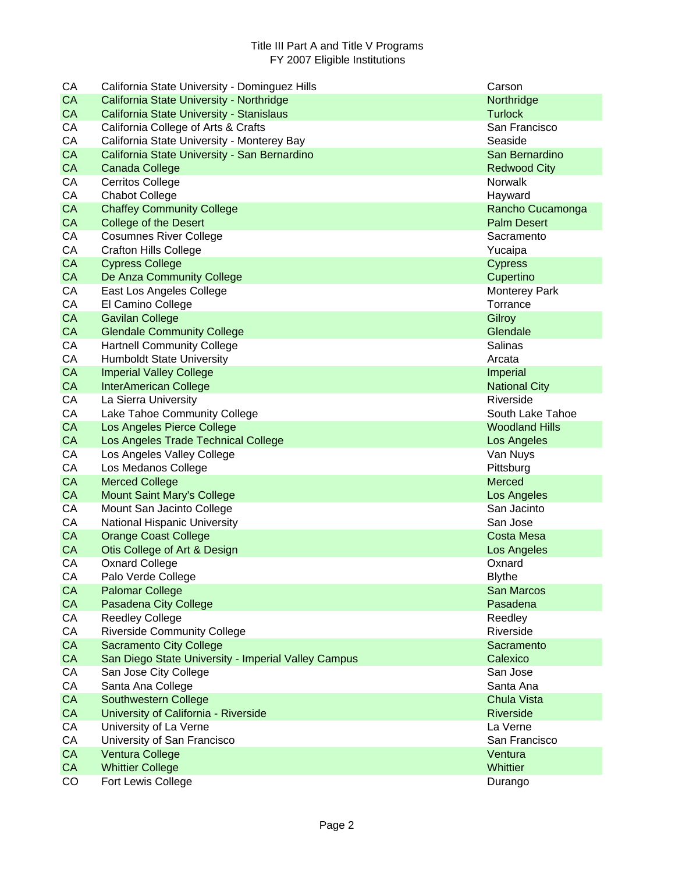| CA        | California State University - Dominguez Hills       | Carson                |
|-----------|-----------------------------------------------------|-----------------------|
| <b>CA</b> | California State University - Northridge            | Northridge            |
| <b>CA</b> | California State University - Stanislaus            | <b>Turlock</b>        |
| CA        | California College of Arts & Crafts                 | San Francisco         |
| CA        | California State University - Monterey Bay          | Seaside               |
| CA        | California State University - San Bernardino        | San Bernardino        |
| <b>CA</b> | <b>Canada College</b>                               | <b>Redwood City</b>   |
| CA        | <b>Cerritos College</b>                             | <b>Norwalk</b>        |
| CA        | <b>Chabot College</b>                               | Hayward               |
| <b>CA</b> | <b>Chaffey Community College</b>                    | Rancho Cucamonga      |
| CA        | <b>College of the Desert</b>                        | <b>Palm Desert</b>    |
| CA        | <b>Cosumnes River College</b>                       | Sacramento            |
| CA        | <b>Crafton Hills College</b>                        | Yucaipa               |
| CA        | <b>Cypress College</b>                              | <b>Cypress</b>        |
| CA        | De Anza Community College                           | Cupertino             |
| CA        | East Los Angeles College                            | <b>Monterey Park</b>  |
| CA        | El Camino College                                   | Torrance              |
| CA        | <b>Gavilan College</b>                              | Gilroy                |
| <b>CA</b> | <b>Glendale Community College</b>                   | Glendale              |
| CA        | <b>Hartnell Community College</b>                   | Salinas               |
| CA        | <b>Humboldt State University</b>                    | Arcata                |
| CA        | <b>Imperial Valley College</b>                      | Imperial              |
| <b>CA</b> | <b>InterAmerican College</b>                        | <b>National City</b>  |
| CA        | La Sierra University                                | Riverside             |
| CA        | Lake Tahoe Community College                        | South Lake Tahoe      |
| CA        | Los Angeles Pierce College                          | <b>Woodland Hills</b> |
| <b>CA</b> | Los Angeles Trade Technical College                 | Los Angeles           |
| CA        | Los Angeles Valley College                          | Van Nuys              |
| CA        | Los Medanos College                                 | Pittsburg             |
| CA        | <b>Merced College</b>                               | <b>Merced</b>         |
| <b>CA</b> | <b>Mount Saint Mary's College</b>                   | Los Angeles           |
| CA        | Mount San Jacinto College                           | San Jacinto           |
| CA        | National Hispanic University                        | San Jose              |
| CA        | <b>Orange Coast College</b>                         | <b>Costa Mesa</b>     |
| <b>CA</b> | Otis College of Art & Design                        | Los Angeles           |
| CA        | <b>Oxnard College</b>                               | Oxnard                |
| СA        | Palo Verde College                                  | <b>Blythe</b>         |
| CA        | <b>Palomar College</b>                              | San Marcos            |
| CA        | Pasadena City College                               | Pasadena              |
| CA        | <b>Reedley College</b>                              | Reedley               |
| CA        | <b>Riverside Community College</b>                  | Riverside             |
| CA        | <b>Sacramento City College</b>                      | Sacramento            |
| CA        | San Diego State University - Imperial Valley Campus | Calexico              |
| CA        | San Jose City College                               | San Jose              |
| CA        | Santa Ana College                                   | Santa Ana             |
| CA        | Southwestern College                                | Chula Vista           |
| CA        | University of California - Riverside                | <b>Riverside</b>      |
| CA        | University of La Verne                              | La Verne              |
| CA        | University of San Francisco                         | San Francisco         |
| CA        | Ventura College                                     | Ventura               |
| CA        | <b>Whittier College</b>                             | Whittier              |
| CO        | Fort Lewis College                                  | Durango               |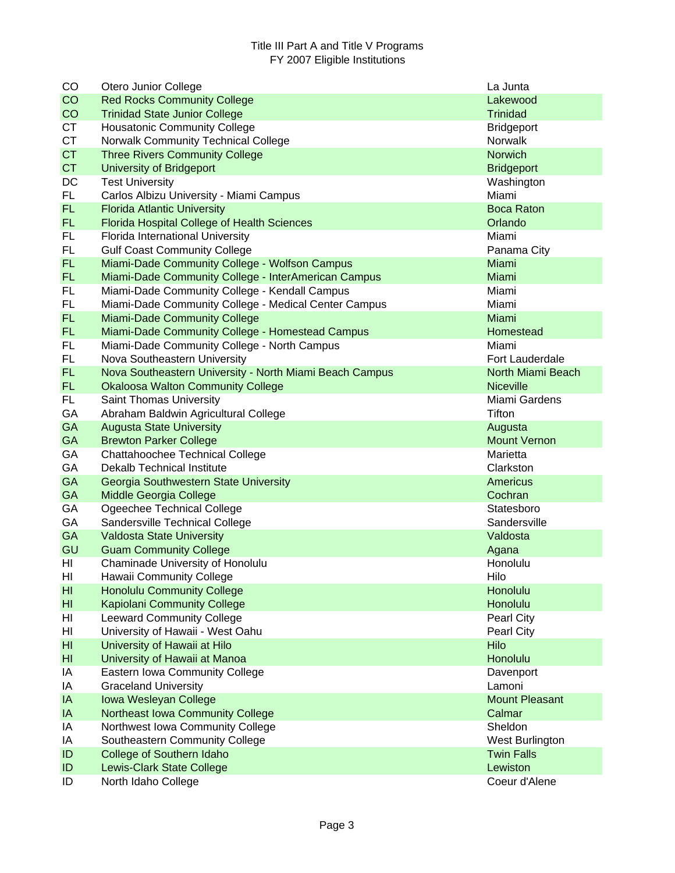| CO              | Otero Junior College                                    | La Junta              |
|-----------------|---------------------------------------------------------|-----------------------|
| CO              | <b>Red Rocks Community College</b>                      | Lakewood              |
| CO              | <b>Trinidad State Junior College</b>                    | <b>Trinidad</b>       |
| <b>CT</b>       | <b>Housatonic Community College</b>                     | <b>Bridgeport</b>     |
| <b>CT</b>       | Norwalk Community Technical College                     | Norwalk               |
| <b>CT</b>       | <b>Three Rivers Community College</b>                   | Norwich               |
| <b>CT</b>       | <b>University of Bridgeport</b>                         | <b>Bridgeport</b>     |
| DC              | <b>Test University</b>                                  | Washington            |
| FL.             | Carlos Albizu University - Miami Campus                 | Miami                 |
| <b>FL</b>       | <b>Florida Atlantic University</b>                      | <b>Boca Raton</b>     |
| FL.             | <b>Florida Hospital College of Health Sciences</b>      | Orlando               |
| FL              | Florida International University                        | Miami                 |
| FL              | <b>Gulf Coast Community College</b>                     | Panama City           |
| FL.             | Miami-Dade Community College - Wolfson Campus           | Miami                 |
| FL.             | Miami-Dade Community College - InterAmerican Campus     | Miami                 |
| FL              | Miami-Dade Community College - Kendall Campus           | Miami                 |
| FL              | Miami-Dade Community College - Medical Center Campus    | Miami                 |
| <b>FL</b>       | <b>Miami-Dade Community College</b>                     | Miami                 |
| <b>FL</b>       | Miami-Dade Community College - Homestead Campus         | Homestead             |
| <b>FL</b>       | Miami-Dade Community College - North Campus             | Miami                 |
| FL              | Nova Southeastern University                            | Fort Lauderdale       |
| <b>FL</b>       | Nova Southeastern University - North Miami Beach Campus | North Miami Beach     |
| FL.             | <b>Okaloosa Walton Community College</b>                | <b>Niceville</b>      |
| FL.             | <b>Saint Thomas University</b>                          | Miami Gardens         |
| GA              | Abraham Baldwin Agricultural College                    | Tifton                |
| <b>GA</b>       | <b>Augusta State University</b>                         | Augusta               |
| <b>GA</b>       | <b>Brewton Parker College</b>                           | <b>Mount Vernon</b>   |
| GA              | Chattahoochee Technical College                         | Marietta              |
| GA              | <b>Dekalb Technical Institute</b>                       | Clarkston             |
| GA              | Georgia Southwestern State University                   | Americus              |
| <b>GA</b>       | Middle Georgia College                                  | Cochran               |
| GA              | Ogeechee Technical College                              | Statesboro            |
| GA              | Sandersville Technical College                          | Sandersville          |
| GA              | <b>Valdosta State University</b>                        | Valdosta              |
| GU              | <b>Guam Community College</b>                           | Agana                 |
| HI              | Chaminade University of Honolulu                        | Honolulu              |
| HI              | Hawaii Community College                                | Hilo                  |
| H <sub>II</sub> | <b>Honolulu Community College</b>                       | Honolulu              |
| HI              | <b>Kapiolani Community College</b>                      | Honolulu              |
| HI              | <b>Leeward Community College</b>                        | Pearl City            |
| HI              | University of Hawaii - West Oahu                        | Pearl City            |
| H <sub>II</sub> | University of Hawaii at Hilo                            | Hilo                  |
| H <sub>l</sub>  | University of Hawaii at Manoa                           | Honolulu              |
| IA              | Eastern Iowa Community College                          | Davenport             |
| IA              | <b>Graceland University</b>                             | Lamoni                |
| IA              | Iowa Wesleyan College                                   | <b>Mount Pleasant</b> |
| IA              | Northeast Iowa Community College                        | Calmar                |
| IA              | Northwest Iowa Community College                        | Sheldon               |
| IA              | Southeastern Community College                          | West Burlington       |
| ID              | College of Southern Idaho                               | <b>Twin Falls</b>     |
| ID              | <b>Lewis-Clark State College</b>                        | Lewiston              |
| ID              | North Idaho College                                     | Coeur d'Alene         |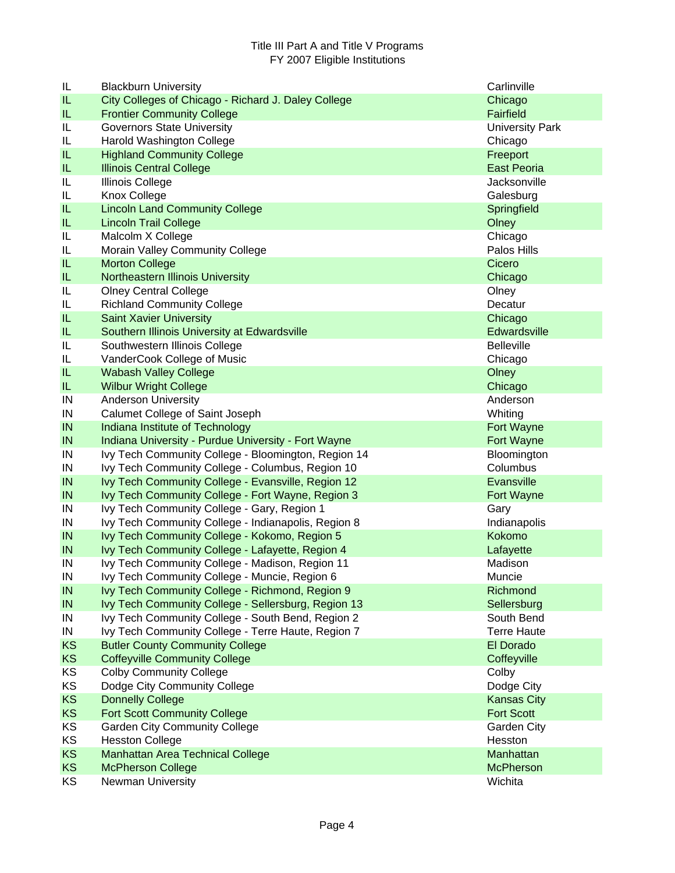| IL         | <b>Blackburn University</b>                                                                      | Carlinville            |
|------------|--------------------------------------------------------------------------------------------------|------------------------|
| IL         | City Colleges of Chicago - Richard J. Daley College                                              | Chicago                |
| IL         | <b>Frontier Community College</b>                                                                | <b>Fairfield</b>       |
| IL         | <b>Governors State University</b>                                                                | <b>University Park</b> |
| IL         | Harold Washington College                                                                        | Chicago                |
| IL         | <b>Highland Community College</b>                                                                | Freeport               |
| IL         | <b>Illinois Central College</b>                                                                  | <b>East Peoria</b>     |
| IL         | Illinois College                                                                                 | Jacksonville           |
| IL         | Knox College                                                                                     | Galesburg              |
| IL         | <b>Lincoln Land Community College</b>                                                            | Springfield            |
| IL         | <b>Lincoln Trail College</b>                                                                     | Olney                  |
| IL         | Malcolm X College                                                                                | Chicago                |
| IL         | Morain Valley Community College                                                                  | Palos Hills            |
| IL         | <b>Morton College</b>                                                                            | Cicero                 |
| IL         | Northeastern Illinois University                                                                 | Chicago                |
| IL         | <b>Olney Central College</b>                                                                     | Olney                  |
| IL         | <b>Richland Community College</b>                                                                | Decatur                |
| IL         | <b>Saint Xavier University</b>                                                                   | Chicago                |
| IL         | Southern Illinois University at Edwardsville                                                     | Edwardsville           |
| IL         | Southwestern Illinois College                                                                    | <b>Belleville</b>      |
| IL         | VanderCook College of Music                                                                      | Chicago                |
| IL         | <b>Wabash Valley College</b>                                                                     | Olney                  |
| IL         | <b>Wilbur Wright College</b>                                                                     | Chicago                |
| IN         | <b>Anderson University</b>                                                                       | Anderson               |
| IN         | Calumet College of Saint Joseph                                                                  | Whiting                |
| IN         | Indiana Institute of Technology                                                                  | Fort Wayne             |
| IN         | Indiana University - Purdue University - Fort Wayne                                              | Fort Wayne             |
| IN         | Ivy Tech Community College - Bloomington, Region 14                                              | Bloomington            |
| IN         | Ivy Tech Community College - Columbus, Region 10                                                 | Columbus               |
| IN         | Ivy Tech Community College - Evansville, Region 12                                               | Evansville             |
| IN         | Ivy Tech Community College - Fort Wayne, Region 3                                                | Fort Wayne             |
| IN         | Ivy Tech Community College - Gary, Region 1                                                      | Gary                   |
| IN         | Ivy Tech Community College - Indianapolis, Region 8                                              | Indianapolis           |
| IN         | Ivy Tech Community College - Kokomo, Region 5                                                    | Kokomo                 |
| IN<br>IN   | Ivy Tech Community College - Lafayette, Region 4                                                 | Lafayette<br>Madison   |
| $\sf IN$   | Ivy Tech Community College - Madison, Region 11<br>Ivy Tech Community College - Muncie, Region 6 | Muncie                 |
| IN         | Ivy Tech Community College - Richmond, Region 9                                                  | Richmond               |
| IN         | Ivy Tech Community College - Sellersburg, Region 13                                              | Sellersburg            |
| IN         | Ivy Tech Community College - South Bend, Region 2                                                | South Bend             |
| ${\sf IN}$ | Ivy Tech Community College - Terre Haute, Region 7                                               | <b>Terre Haute</b>     |
| <b>KS</b>  | <b>Butler County Community College</b>                                                           | El Dorado              |
| <b>KS</b>  | <b>Coffeyville Community College</b>                                                             | Coffeyville            |
| KS         | <b>Colby Community College</b>                                                                   | Colby                  |
| KS         | Dodge City Community College                                                                     | Dodge City             |
| KS         | <b>Donnelly College</b>                                                                          | <b>Kansas City</b>     |
| KS         | <b>Fort Scott Community College</b>                                                              | <b>Fort Scott</b>      |
| KS         | <b>Garden City Community College</b>                                                             | Garden City            |
| KS         | <b>Hesston College</b>                                                                           | Hesston                |
| <b>KS</b>  | <b>Manhattan Area Technical College</b>                                                          | Manhattan              |
| <b>KS</b>  | <b>McPherson College</b>                                                                         | <b>McPherson</b>       |
| KS         | <b>Newman University</b>                                                                         | Wichita                |
|            |                                                                                                  |                        |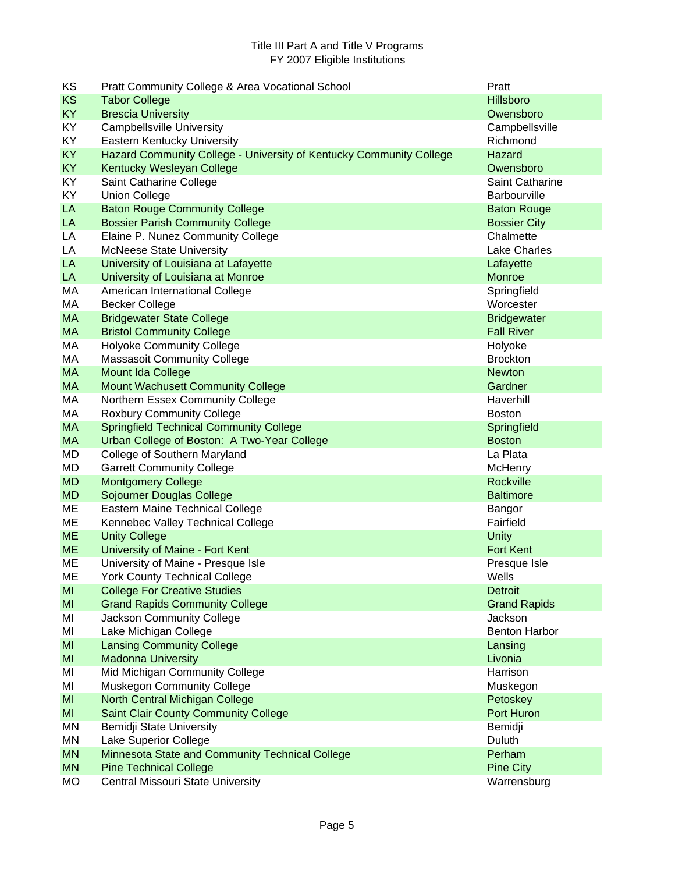| KS        | Pratt Community College & Area Vocational School                    | Pratt                |
|-----------|---------------------------------------------------------------------|----------------------|
| <b>KS</b> | <b>Tabor College</b>                                                | <b>Hillsboro</b>     |
| <b>KY</b> | <b>Brescia University</b>                                           | Owensboro            |
| KY.       | <b>Campbellsville University</b>                                    | Campbellsville       |
| KY        | <b>Eastern Kentucky University</b>                                  | Richmond             |
| <b>KY</b> | Hazard Community College - University of Kentucky Community College | Hazard               |
| <b>KY</b> | Kentucky Wesleyan College                                           | Owensboro            |
| KY        | Saint Catharine College                                             | Saint Catharine      |
| KY        | <b>Union College</b>                                                | Barbourville         |
| LA        | <b>Baton Rouge Community College</b>                                | <b>Baton Rouge</b>   |
| LA        | <b>Bossier Parish Community College</b>                             | <b>Bossier City</b>  |
| LA        | Elaine P. Nunez Community College                                   | Chalmette            |
| LA        | <b>McNeese State University</b>                                     | <b>Lake Charles</b>  |
| LA        | University of Louisiana at Lafayette                                | Lafayette            |
| LA        | University of Louisiana at Monroe                                   | Monroe               |
| МA        | American International College                                      | Springfield          |
| МA        | <b>Becker College</b>                                               | Worcester            |
| <b>MA</b> | <b>Bridgewater State College</b>                                    | <b>Bridgewater</b>   |
| <b>MA</b> | <b>Bristol Community College</b>                                    | <b>Fall River</b>    |
| МA        | <b>Holyoke Community College</b>                                    | Holyoke              |
| МA        | <b>Massasoit Community College</b>                                  | <b>Brockton</b>      |
| <b>MA</b> | Mount Ida College                                                   | <b>Newton</b>        |
| <b>MA</b> | <b>Mount Wachusett Community College</b>                            | Gardner              |
| МA        | Northern Essex Community College                                    | Haverhill            |
| МA        | <b>Roxbury Community College</b>                                    | <b>Boston</b>        |
| <b>MA</b> | <b>Springfield Technical Community College</b>                      | Springfield          |
| <b>MA</b> | Urban College of Boston: A Two-Year College                         | <b>Boston</b>        |
| MD        | College of Southern Maryland                                        | La Plata             |
| MD        | <b>Garrett Community College</b>                                    | McHenry              |
| <b>MD</b> | <b>Montgomery College</b>                                           | Rockville            |
| <b>MD</b> | Sojourner Douglas College                                           | <b>Baltimore</b>     |
| ME        | Eastern Maine Technical College                                     | Bangor               |
| ME        | Kennebec Valley Technical College                                   | Fairfield            |
| <b>ME</b> | <b>Unity College</b>                                                | <b>Unity</b>         |
| <b>ME</b> | University of Maine - Fort Kent                                     | <b>Fort Kent</b>     |
| ME        | University of Maine - Presque Isle                                  | Presque Isle         |
| МE        | <b>York County Technical College</b>                                | Wells                |
| MI        | <b>College For Creative Studies</b>                                 | Detroit              |
| MI        | <b>Grand Rapids Community College</b>                               | <b>Grand Rapids</b>  |
| MI        | Jackson Community College                                           | Jackson              |
| MI        | Lake Michigan College                                               | <b>Benton Harbor</b> |
| MI        | <b>Lansing Community College</b>                                    | Lansing              |
| MI        | <b>Madonna University</b>                                           | Livonia              |
| MI        | Mid Michigan Community College                                      | Harrison             |
| MI        | <b>Muskegon Community College</b>                                   | Muskegon             |
| MI        | North Central Michigan College                                      | Petoskey             |
| MI        | <b>Saint Clair County Community College</b>                         | Port Huron           |
| ΜN        | Bemidji State University                                            | Bemidji              |
| ΜN        | Lake Superior College                                               | Duluth               |
| <b>MN</b> | Minnesota State and Community Technical College                     | Perham               |
| <b>MN</b> | <b>Pine Technical College</b>                                       | <b>Pine City</b>     |
| <b>MO</b> | Central Missouri State University                                   | Warrensburg          |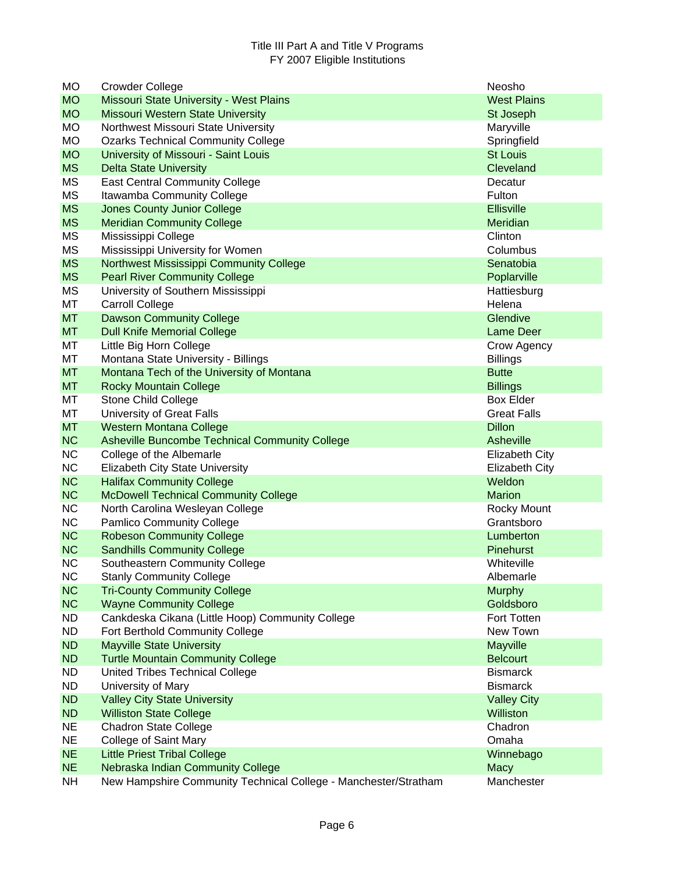| <b>MO</b> | <b>Crowder College</b>                                          | Neosho                |
|-----------|-----------------------------------------------------------------|-----------------------|
| <b>MO</b> | Missouri State University - West Plains                         | <b>West Plains</b>    |
| <b>MO</b> | Missouri Western State University                               | St Joseph             |
| <b>MO</b> | Northwest Missouri State University                             | Maryville             |
| <b>MO</b> | <b>Ozarks Technical Community College</b>                       | Springfield           |
| <b>MO</b> | University of Missouri - Saint Louis                            | <b>St Louis</b>       |
| <b>MS</b> | <b>Delta State University</b>                                   | Cleveland             |
| MS        | <b>East Central Community College</b>                           | Decatur               |
| MS        | Itawamba Community College                                      | Fulton                |
| <b>MS</b> | <b>Jones County Junior College</b>                              | <b>Ellisville</b>     |
| <b>MS</b> | <b>Meridian Community College</b>                               | Meridian              |
| <b>MS</b> | Mississippi College                                             | Clinton               |
| <b>MS</b> | Mississippi University for Women                                | Columbus              |
| <b>MS</b> | Northwest Mississippi Community College                         | Senatobia             |
| <b>MS</b> | <b>Pearl River Community College</b>                            | Poplarville           |
| MS        | University of Southern Mississippi                              | Hattiesburg           |
| MT        | <b>Carroll College</b>                                          | Helena                |
| <b>MT</b> | <b>Dawson Community College</b>                                 | Glendive              |
| <b>MT</b> | <b>Dull Knife Memorial College</b>                              | <b>Lame Deer</b>      |
| МT        | Little Big Horn College                                         | Crow Agency           |
| МT        | Montana State University - Billings                             | <b>Billings</b>       |
| <b>MT</b> | Montana Tech of the University of Montana                       | <b>Butte</b>          |
| <b>MT</b> | <b>Rocky Mountain College</b>                                   | <b>Billings</b>       |
| МT        | <b>Stone Child College</b>                                      | <b>Box Elder</b>      |
| MT        | University of Great Falls                                       | <b>Great Falls</b>    |
| <b>MT</b> | <b>Western Montana College</b>                                  | <b>Dillon</b>         |
| <b>NC</b> | <b>Asheville Buncombe Technical Community College</b>           | Asheville             |
| <b>NC</b> | College of the Albemarle                                        | <b>Elizabeth City</b> |
| <b>NC</b> | <b>Elizabeth City State University</b>                          | <b>Elizabeth City</b> |
| <b>NC</b> | <b>Halifax Community College</b>                                | Weldon                |
| <b>NC</b> | <b>McDowell Technical Community College</b>                     | <b>Marion</b>         |
| <b>NC</b> | North Carolina Wesleyan College                                 | Rocky Mount           |
| <b>NC</b> | <b>Pamlico Community College</b>                                | Grantsboro            |
| <b>NC</b> | <b>Robeson Community College</b>                                | Lumberton             |
| <b>NC</b> | <b>Sandhills Community College</b>                              | Pinehurst             |
| <b>NC</b> | Southeastern Community College                                  | Whiteville            |
| <b>NC</b> | <b>Stanly Community College</b>                                 | Albemarle             |
| <b>NC</b> | <b>Tri-County Community College</b>                             | <b>Murphy</b>         |
| NC        | <b>Wayne Community College</b>                                  | Goldsboro             |
| <b>ND</b> | Cankdeska Cikana (Little Hoop) Community College                | Fort Totten           |
| <b>ND</b> | Fort Berthold Community College                                 | New Town              |
| <b>ND</b> | <b>Mayville State University</b>                                | Mayville              |
| <b>ND</b> | <b>Turtle Mountain Community College</b>                        | <b>Belcourt</b>       |
| ND.       | United Tribes Technical College                                 | <b>Bismarck</b>       |
| <b>ND</b> | University of Mary                                              | <b>Bismarck</b>       |
| <b>ND</b> | <b>Valley City State University</b>                             | <b>Valley City</b>    |
| <b>ND</b> | <b>Williston State College</b>                                  | Williston             |
| <b>NE</b> | <b>Chadron State College</b>                                    | Chadron               |
| <b>NE</b> | <b>College of Saint Mary</b>                                    | Omaha                 |
| <b>NE</b> | <b>Little Priest Tribal College</b>                             | Winnebago             |
| <b>NE</b> | Nebraska Indian Community College                               | Macy                  |
| <b>NH</b> | New Hampshire Community Technical College - Manchester/Stratham | Manchester            |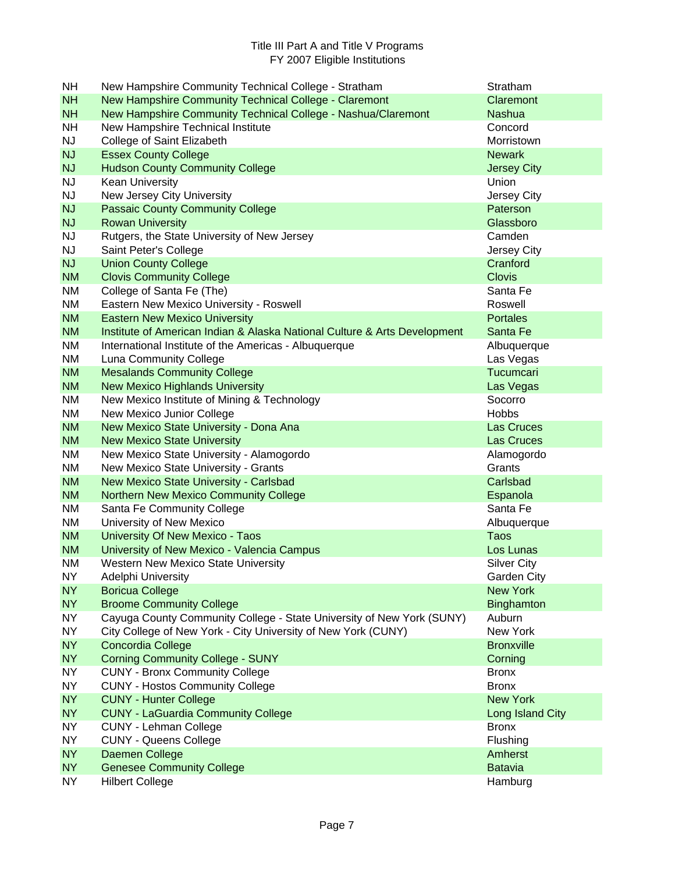| NH                     | New Hampshire Community Technical College - Stratham                      | Stratham                  |
|------------------------|---------------------------------------------------------------------------|---------------------------|
| <b>NH</b>              | New Hampshire Community Technical College - Claremont                     | Claremont                 |
| <b>NH</b>              | New Hampshire Community Technical College - Nashua/Claremont              | <b>Nashua</b>             |
| <b>NH</b>              | New Hampshire Technical Institute                                         | Concord                   |
| <b>NJ</b>              | College of Saint Elizabeth                                                | Morristown                |
| <b>NJ</b>              | <b>Essex County College</b>                                               | <b>Newark</b>             |
| <b>NJ</b>              | <b>Hudson County Community College</b>                                    | <b>Jersey City</b>        |
| <b>NJ</b>              | Kean University                                                           | Union                     |
| <b>NJ</b>              | New Jersey City University                                                | Jersey City               |
| <b>NJ</b>              | <b>Passaic County Community College</b>                                   | Paterson                  |
| <b>NJ</b>              | <b>Rowan University</b>                                                   | Glassboro                 |
| <b>NJ</b>              | Rutgers, the State University of New Jersey                               | Camden                    |
| <b>NJ</b>              | Saint Peter's College                                                     | Jersey City               |
| <b>NJ</b>              | <b>Union County College</b>                                               | Cranford                  |
| <b>NM</b>              | <b>Clovis Community College</b>                                           | <b>Clovis</b>             |
| <b>NM</b>              | College of Santa Fe (The)                                                 | Santa Fe                  |
| NM                     | Eastern New Mexico University - Roswell                                   | Roswell                   |
| <b>NM</b>              | <b>Eastern New Mexico University</b>                                      | <b>Portales</b>           |
| <b>NM</b>              | Institute of American Indian & Alaska National Culture & Arts Development | Santa Fe                  |
| NM                     | International Institute of the Americas - Albuquerque                     | Albuquerque               |
| NM                     | Luna Community College                                                    | Las Vegas                 |
| <b>NM</b>              | <b>Mesalands Community College</b>                                        | Tucumcari                 |
| <b>NM</b><br>NM        | <b>New Mexico Highlands University</b>                                    | Las Vegas<br>Socorro      |
| ΝM                     | New Mexico Institute of Mining & Technology<br>New Mexico Junior College  | <b>Hobbs</b>              |
| <b>NM</b>              | New Mexico State University - Dona Ana                                    | Las Cruces                |
| <b>NM</b>              | <b>New Mexico State University</b>                                        | Las Cruces                |
| NM                     | New Mexico State University - Alamogordo                                  | Alamogordo                |
| NM                     | New Mexico State University - Grants                                      | Grants                    |
| <b>NM</b>              | New Mexico State University - Carlsbad                                    | Carlsbad                  |
| <b>NM</b>              | Northern New Mexico Community College                                     | Espanola                  |
| NM                     | Santa Fe Community College                                                | Santa Fe                  |
| NM                     | University of New Mexico                                                  | Albuquerque               |
| <b>NM</b>              | University Of New Mexico - Taos                                           | Taos                      |
| <b>NM</b>              | University of New Mexico - Valencia Campus                                | Los Lunas                 |
| <b>NM</b>              | <b>Western New Mexico State University</b>                                | <b>Silver City</b>        |
| <b>NY</b>              | Adelphi University                                                        | Garden City               |
| <b>NY</b>              | <b>Boricua College</b>                                                    | <b>New York</b>           |
| <b>NY</b>              | <b>Broome Community College</b>                                           | <b>Binghamton</b>         |
| <b>NY</b>              | Cayuga County Community College - State University of New York (SUNY)     | Auburn                    |
| <b>NY</b>              | City College of New York - City University of New York (CUNY)             | New York                  |
| <b>NY</b>              | Concordia College                                                         | <b>Bronxville</b>         |
| <b>NY</b>              | <b>Corning Community College - SUNY</b>                                   | Corning                   |
| NY.                    | <b>CUNY - Bronx Community College</b>                                     | <b>Bronx</b>              |
| <b>NY</b>              | <b>CUNY - Hostos Community College</b>                                    | <b>Bronx</b>              |
| <b>NY</b>              | <b>CUNY - Hunter College</b>                                              | <b>New York</b>           |
| NY                     | <b>CUNY - LaGuardia Community College</b>                                 | Long Island City          |
| <b>NY</b>              | <b>CUNY - Lehman College</b>                                              | <b>Bronx</b>              |
| <b>NY</b>              | <b>CUNY - Queens College</b>                                              | Flushing                  |
| <b>NY</b><br><b>NY</b> | Daemen College<br><b>Genesee Community College</b>                        | Amherst<br><b>Batavia</b> |
| NY                     | <b>Hilbert College</b>                                                    | Hamburg                   |
|                        |                                                                           |                           |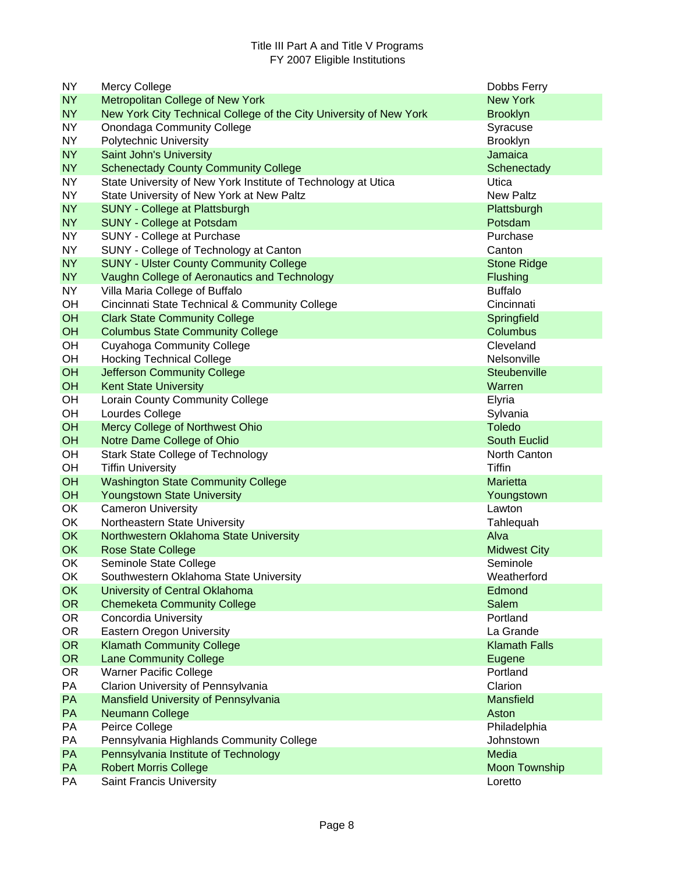| <b>NY</b> | <b>Mercy College</b>                                               | Dobbs Ferry          |
|-----------|--------------------------------------------------------------------|----------------------|
| <b>NY</b> | <b>Metropolitan College of New York</b>                            | <b>New York</b>      |
| <b>NY</b> | New York City Technical College of the City University of New York | <b>Brooklyn</b>      |
| <b>NY</b> | <b>Onondaga Community College</b>                                  | Syracuse             |
| <b>NY</b> | Polytechnic University                                             | <b>Brooklyn</b>      |
| <b>NY</b> | Saint John's University                                            | Jamaica              |
| <b>NY</b> | <b>Schenectady County Community College</b>                        | Schenectady          |
| <b>NY</b> | State University of New York Institute of Technology at Utica      | Utica                |
| <b>NY</b> | State University of New York at New Paltz                          | <b>New Paltz</b>     |
| <b>NY</b> | <b>SUNY - College at Plattsburgh</b>                               | Plattsburgh          |
| <b>NY</b> | <b>SUNY - College at Potsdam</b>                                   | Potsdam              |
| <b>NY</b> | SUNY - College at Purchase                                         | Purchase             |
| <b>NY</b> | SUNY - College of Technology at Canton                             | Canton               |
| <b>NY</b> | <b>SUNY - Ulster County Community College</b>                      | <b>Stone Ridge</b>   |
| <b>NY</b> | Vaughn College of Aeronautics and Technology                       | Flushing             |
| <b>NY</b> | Villa Maria College of Buffalo                                     | <b>Buffalo</b>       |
| OH        | Cincinnati State Technical & Community College                     | Cincinnati           |
| OH        | <b>Clark State Community College</b>                               | Springfield          |
| OH        | <b>Columbus State Community College</b>                            | Columbus             |
| OH        | <b>Cuyahoga Community College</b>                                  | Cleveland            |
| OH        | <b>Hocking Technical College</b>                                   | Nelsonville          |
| OH        | <b>Jefferson Community College</b>                                 | Steubenville         |
| OH        | <b>Kent State University</b>                                       | Warren               |
| OH        | Lorain County Community College                                    | Elyria               |
| OH        | Lourdes College                                                    | Sylvania             |
| OH        | Mercy College of Northwest Ohio                                    | <b>Toledo</b>        |
| OH        | Notre Dame College of Ohio                                         | <b>South Euclid</b>  |
| OH        | <b>Stark State College of Technology</b>                           | North Canton         |
| OH        | <b>Tiffin University</b>                                           | Tiffin               |
| OH        | <b>Washington State Community College</b>                          | <b>Marietta</b>      |
| OH        | <b>Youngstown State University</b>                                 | Youngstown           |
| OK        | <b>Cameron University</b>                                          | Lawton               |
| OK        | Northeastern State University                                      | Tahlequah            |
| OK        | Northwestern Oklahoma State University                             | Alva                 |
| OK        | <b>Rose State College</b>                                          | <b>Midwest City</b>  |
| OK        | Seminole State College                                             | Seminole             |
| OK.       | Southwestern Oklahoma State University                             | Weatherford          |
| <b>OK</b> | University of Central Oklahoma                                     | Edmond               |
| <b>OR</b> | <b>Chemeketa Community College</b>                                 | Salem                |
| <b>OR</b> | <b>Concordia University</b>                                        | Portland             |
| <b>OR</b> | <b>Eastern Oregon University</b>                                   | La Grande            |
| <b>OR</b> | <b>Klamath Community College</b>                                   | <b>Klamath Falls</b> |
| <b>OR</b> | <b>Lane Community College</b>                                      | Eugene               |
| <b>OR</b> | <b>Warner Pacific College</b>                                      | Portland             |
| PA        | Clarion University of Pennsylvania                                 | Clarion              |
| PA        | Mansfield University of Pennsylvania                               | <b>Mansfield</b>     |
| PA        | Neumann College                                                    | Aston                |
| PA        | Peirce College                                                     | Philadelphia         |
| PA        | Pennsylvania Highlands Community College                           | Johnstown            |
| PA        | Pennsylvania Institute of Technology                               | Media                |
| PA        | <b>Robert Morris College</b>                                       | <b>Moon Township</b> |
| PA        | <b>Saint Francis University</b>                                    | Loretto              |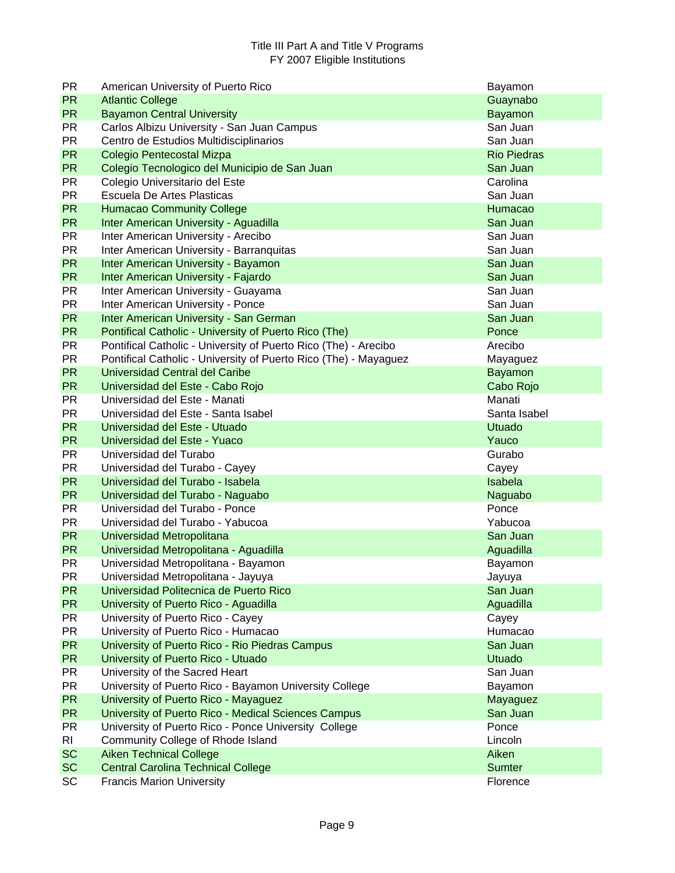| <b>PR</b> | American University of Puerto Rico                               | Bayamon            |
|-----------|------------------------------------------------------------------|--------------------|
| <b>PR</b> | <b>Atlantic College</b>                                          | Guaynabo           |
| <b>PR</b> | <b>Bayamon Central University</b>                                | <b>Bayamon</b>     |
| <b>PR</b> | Carlos Albizu University - San Juan Campus                       | San Juan           |
| <b>PR</b> | Centro de Estudios Multidisciplinarios                           | San Juan           |
| <b>PR</b> | Colegio Pentecostal Mizpa                                        | <b>Rio Piedras</b> |
| <b>PR</b> | Colegio Tecnologico del Municipio de San Juan                    | San Juan           |
| <b>PR</b> | Colegio Universitario del Este                                   | Carolina           |
| <b>PR</b> | Escuela De Artes Plasticas                                       | San Juan           |
| <b>PR</b> | <b>Humacao Community College</b>                                 | Humacao            |
| <b>PR</b> | Inter American University - Aguadilla                            | San Juan           |
| <b>PR</b> | Inter American University - Arecibo                              | San Juan           |
| <b>PR</b> | Inter American University - Barranquitas                         | San Juan           |
| <b>PR</b> | Inter American University - Bayamon                              | San Juan           |
| <b>PR</b> | Inter American University - Fajardo                              | San Juan           |
| <b>PR</b> | Inter American University - Guayama                              | San Juan           |
| <b>PR</b> | Inter American University - Ponce                                | San Juan           |
| <b>PR</b> | Inter American University - San German                           | San Juan           |
| <b>PR</b> | Pontifical Catholic - University of Puerto Rico (The)            | Ponce              |
| <b>PR</b> | Pontifical Catholic - University of Puerto Rico (The) - Arecibo  | Arecibo            |
| <b>PR</b> | Pontifical Catholic - University of Puerto Rico (The) - Mayaguez | Mayaguez           |
| <b>PR</b> | Universidad Central del Caribe                                   | Bayamon            |
| <b>PR</b> | Universidad del Este - Cabo Rojo                                 | Cabo Rojo          |
| <b>PR</b> | Universidad del Este - Manati                                    | Manati             |
| <b>PR</b> | Universidad del Este - Santa Isabel                              | Santa Isabel       |
| <b>PR</b> | Universidad del Este - Utuado                                    | <b>Utuado</b>      |
| <b>PR</b> | Universidad del Este - Yuaco                                     | Yauco              |
| <b>PR</b> | Universidad del Turabo                                           | Gurabo             |
| <b>PR</b> | Universidad del Turabo - Cayey                                   | Cayey              |
| <b>PR</b> | Universidad del Turabo - Isabela                                 | Isabela            |
| <b>PR</b> | Universidad del Turabo - Naguabo                                 | Naguabo            |
| <b>PR</b> | Universidad del Turabo - Ponce                                   | Ponce              |
| <b>PR</b> | Universidad del Turabo - Yabucoa                                 | Yabucoa            |
| <b>PR</b> | Universidad Metropolitana                                        | San Juan           |
| <b>PR</b> | Universidad Metropolitana - Aguadilla                            | Aguadilla          |
| <b>PR</b> | Universidad Metropolitana - Bayamon                              | Bayamon            |
| PR.       | Universidad Metropolitana - Jayuya                               | Jayuya             |
| PR.       | Universidad Politecnica de Puerto Rico                           | San Juan           |
| <b>PR</b> | University of Puerto Rico - Aguadilla                            | Aguadilla          |
| <b>PR</b> | University of Puerto Rico - Cayey                                | Cayey              |
| <b>PR</b> | University of Puerto Rico - Humacao                              | Humacao            |
| <b>PR</b> | University of Puerto Rico - Rio Piedras Campus                   | San Juan           |
| <b>PR</b> | University of Puerto Rico - Utuado                               | <b>Utuado</b>      |
| <b>PR</b> | University of the Sacred Heart                                   | San Juan           |
| <b>PR</b> | University of Puerto Rico - Bayamon University College           | Bayamon            |
| <b>PR</b> | University of Puerto Rico - Mayaguez                             | Mayaguez           |
| <b>PR</b> | University of Puerto Rico - Medical Sciences Campus              | San Juan           |
| <b>PR</b> | University of Puerto Rico - Ponce University College             | Ponce              |
| RI.       | Community College of Rhode Island                                | Lincoln            |
| <b>SC</b> | <b>Aiken Technical College</b>                                   | Aiken              |
| <b>SC</b> | <b>Central Carolina Technical College</b>                        | <b>Sumter</b>      |
| SC        | <b>Francis Marion University</b>                                 | Florence           |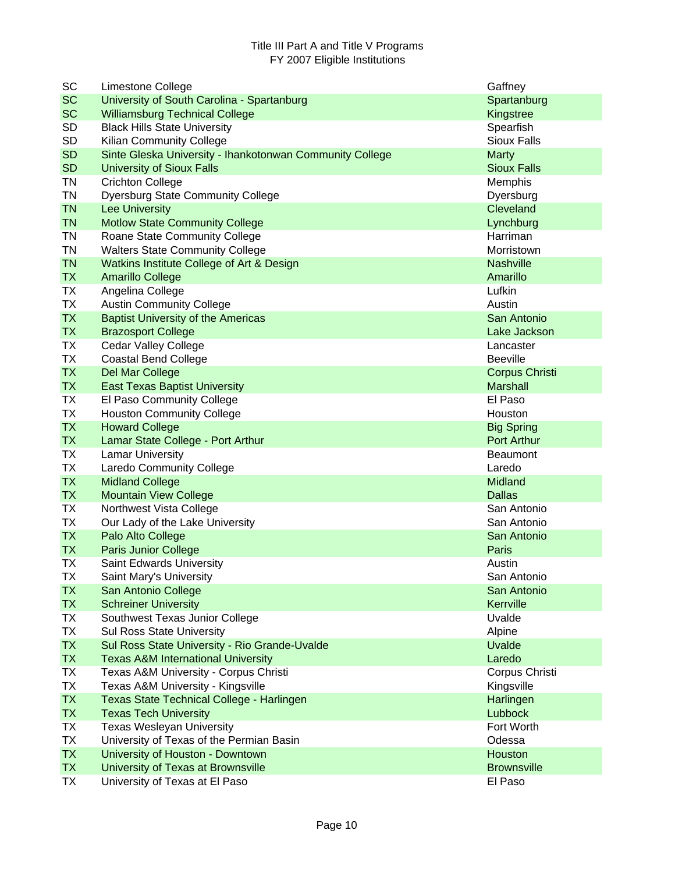| SC        | Limestone College                                        | Gaffney               |
|-----------|----------------------------------------------------------|-----------------------|
| <b>SC</b> | University of South Carolina - Spartanburg               | Spartanburg           |
| <b>SC</b> | <b>Williamsburg Technical College</b>                    | Kingstree             |
| <b>SD</b> | <b>Black Hills State University</b>                      | Spearfish             |
| <b>SD</b> | Kilian Community College                                 | <b>Sioux Falls</b>    |
| <b>SD</b> | Sinte Gleska University - Ihankotonwan Community College | <b>Marty</b>          |
| <b>SD</b> | <b>University of Sioux Falls</b>                         | <b>Sioux Falls</b>    |
| <b>TN</b> | <b>Crichton College</b>                                  | Memphis               |
| <b>TN</b> | <b>Dyersburg State Community College</b>                 | Dyersburg             |
| <b>TN</b> | <b>Lee University</b>                                    | Cleveland             |
| <b>TN</b> | <b>Motlow State Community College</b>                    | Lynchburg             |
| <b>TN</b> | Roane State Community College                            | Harriman              |
| TN        | <b>Walters State Community College</b>                   | Morristown            |
| <b>TN</b> | Watkins Institute College of Art & Design                | <b>Nashville</b>      |
| <b>TX</b> | <b>Amarillo College</b>                                  | Amarillo              |
| <b>TX</b> | Angelina College                                         | Lufkin                |
| <b>TX</b> | <b>Austin Community College</b>                          | Austin                |
| <b>TX</b> | <b>Baptist University of the Americas</b>                | San Antonio           |
| <b>TX</b> | <b>Brazosport College</b>                                | Lake Jackson          |
| <b>TX</b> | <b>Cedar Valley College</b>                              | Lancaster             |
| <b>TX</b> | <b>Coastal Bend College</b>                              | <b>Beeville</b>       |
| <b>TX</b> | Del Mar College                                          | <b>Corpus Christi</b> |
| <b>TX</b> | <b>East Texas Baptist University</b>                     | <b>Marshall</b>       |
| <b>TX</b> | El Paso Community College                                | El Paso               |
| <b>TX</b> | <b>Houston Community College</b>                         | Houston               |
| <b>TX</b> | <b>Howard College</b>                                    | <b>Big Spring</b>     |
| <b>TX</b> | Lamar State College - Port Arthur                        | <b>Port Arthur</b>    |
| TX        | <b>Lamar University</b>                                  | <b>Beaumont</b>       |
| <b>TX</b> | <b>Laredo Community College</b>                          | Laredo                |
| <b>TX</b> | <b>Midland College</b>                                   | Midland               |
| <b>TX</b> | <b>Mountain View College</b>                             | <b>Dallas</b>         |
| TX        | Northwest Vista College                                  | San Antonio           |
| <b>TX</b> | Our Lady of the Lake University                          | San Antonio           |
| <b>TX</b> | Palo Alto College                                        | San Antonio           |
| <b>TX</b> | <b>Paris Junior College</b>                              | Paris                 |
| ТX        | <b>Saint Edwards University</b>                          | Austin                |
| TХ        | Saint Mary's University                                  | San Antonio           |
| <b>TX</b> | San Antonio College                                      | San Antonio           |
| <b>TX</b> | <b>Schreiner University</b>                              | Kerrville             |
| TX        | Southwest Texas Junior College                           | Uvalde                |
| TX        | <b>Sul Ross State University</b>                         | Alpine                |
| <b>TX</b> | Sul Ross State University - Rio Grande-Uvalde            | <b>Uvalde</b>         |
| <b>TX</b> | <b>Texas A&amp;M International University</b>            | Laredo                |
| <b>TX</b> | Texas A&M University - Corpus Christi                    | Corpus Christi        |
| <b>TX</b> | Texas A&M University - Kingsville                        | Kingsville            |
| <b>TX</b> | Texas State Technical College - Harlingen                | Harlingen             |
| <b>TX</b> | <b>Texas Tech University</b>                             | Lubbock               |
| <b>TX</b> | <b>Texas Wesleyan University</b>                         | Fort Worth            |
| <b>TX</b> | University of Texas of the Permian Basin                 | Odessa                |
| <b>TX</b> | University of Houston - Downtown                         | Houston               |
| <b>TX</b> | University of Texas at Brownsville                       | <b>Brownsville</b>    |
| <b>TX</b> | University of Texas at El Paso                           | El Paso               |